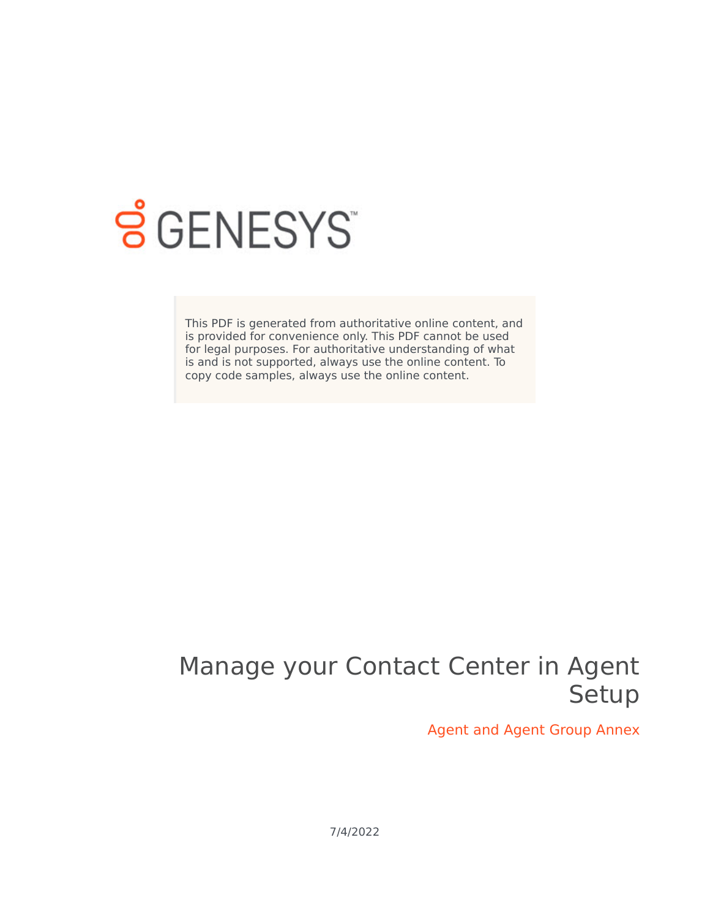

# **SGENESYS**

This PDF is generated from authoritative online content, and is provided for convenience only. This PDF cannot be used for legal purposes. For authoritative understanding of what is and is not supported, always use the online content. To copy code samples, always use the online content.

## Manage your Contact Center in Agent Setup

Agent and Agent Group Annex

7/4/2022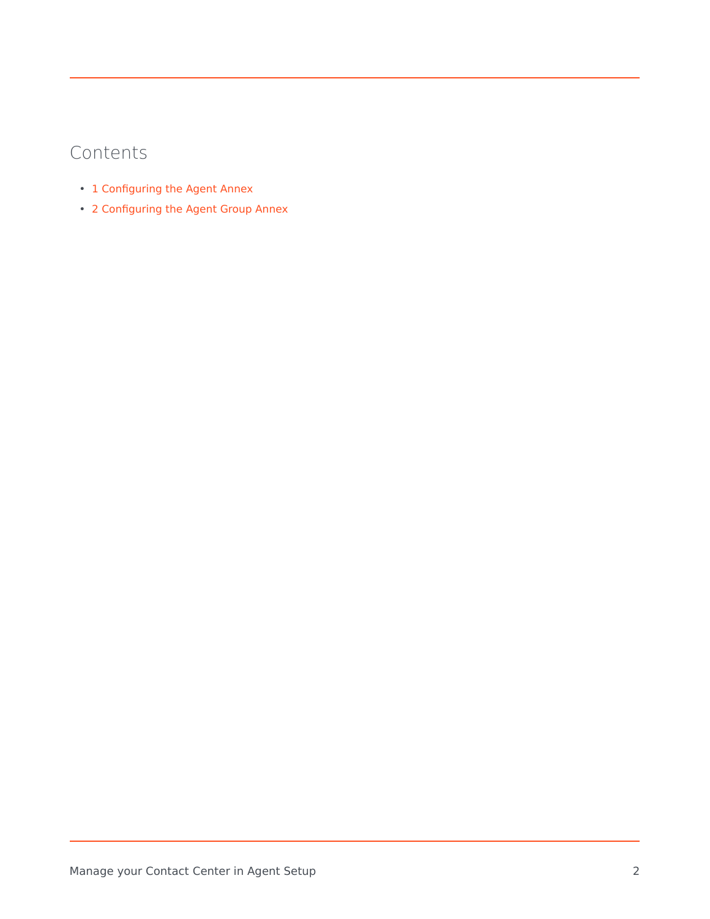## Contents

- 1 [Configuring the Agent Annex](#page-2-0)
- 2 [Configuring the Agent Group Annex](#page-3-0)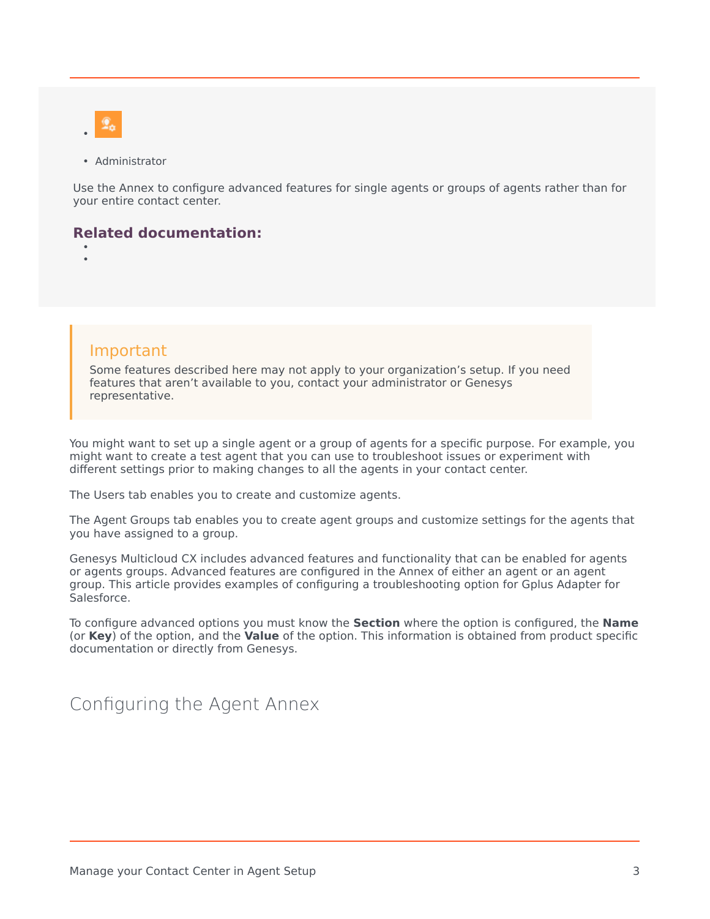

• Administrator

Use the Annex to configure advanced features for single agents or groups of agents rather than for your entire contact center.

#### **Related documentation:**

• •

#### Important

Some features described here may not apply to your organization's setup. If you need features that aren't available to you, contact your administrator or Genesys representative.

You might want to set up a single agent or a group of agents for a specific purpose. For example, you might want to create a test agent that you can use to troubleshoot issues or experiment with different settings prior to making changes to all the agents in your contact center.

The Users tab enables you to create and customize agents.

The Agent Groups tab enables you to create agent groups and customize settings for the agents that you have assigned to a group.

Genesys Multicloud CX includes advanced features and functionality that can be enabled for agents or agents groups. Advanced features are configured in the Annex of either an agent or an agent group. This article provides examples of configuring a troubleshooting option for Gplus Adapter for Salesforce.

To configure advanced options you must know the **Section** where the option is configured, the **Name** (or **Key**) of the option, and the **Value** of the option. This information is obtained from product specific documentation or directly from Genesys.

### <span id="page-2-0"></span>Configuring the Agent Annex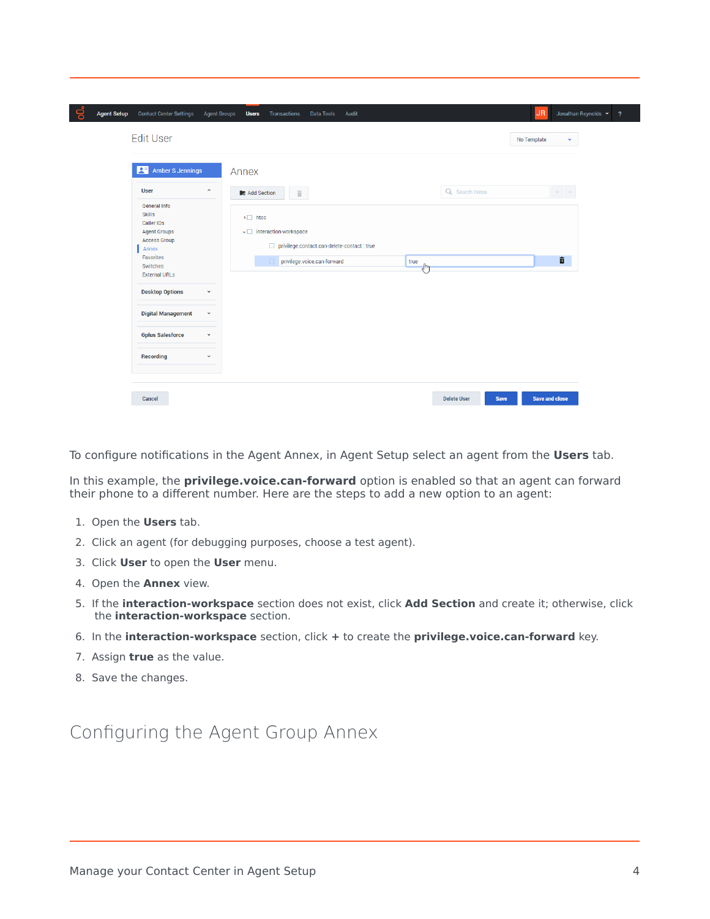| o<br><b>Contact Center Settings</b><br><b>Agent Setup</b><br><b>Edit User</b>                                                                                                                                                                                                                                                                                     | <b>Agent Groups</b><br>Transactions<br><b>Users</b><br>Data Tools<br>Audit                                                                                                                                              | JR.<br>Jonathan Reynolds v ?<br>No Template<br>v |
|-------------------------------------------------------------------------------------------------------------------------------------------------------------------------------------------------------------------------------------------------------------------------------------------------------------------------------------------------------------------|-------------------------------------------------------------------------------------------------------------------------------------------------------------------------------------------------------------------------|--------------------------------------------------|
| Amber S Jennings<br><b>User</b><br>$\hat{\phantom{a}}$<br>General Info<br><b>Skills</b><br>Caller IDs<br><b>Agent Groups</b><br><b>Access Group</b><br>Annex<br>Favorites<br>Switches<br><b>External URLs</b><br><b>Desktop Options</b><br>$\checkmark$<br><b>Digital Management</b><br>$\checkmark$<br><b>Gplus Salesforce</b><br>v<br>Recording<br>$\checkmark$ | Annex<br>Q Search Items<br>Add Section<br>$\widehat{\mathbb{H}}$<br>$\triangleright$ $\Box$ htcc<br>v ainteraction-workspace<br>privilege.contact.can-delete-contact : true<br>privilege.voice.can-forward<br>true<br>J | $\sim$<br>童                                      |
| Cancel                                                                                                                                                                                                                                                                                                                                                            | <b>Delete User</b>                                                                                                                                                                                                      | Save and close<br>Save                           |

To configure notifications in the Agent Annex, in Agent Setup select an agent from the **Users** tab.

In this example, the **privilege.voice.can-forward** option is enabled so that an agent can forward their phone to a different number. Here are the steps to add a new option to an agent:

- 1. Open the **Users** tab.
- 2. Click an agent (for debugging purposes, choose a test agent).
- 3. Click **User** to open the **User** menu.
- 4. Open the **Annex** view.
- 5. If the **interaction-workspace** section does not exist, click **Add Section** and create it; otherwise, click the **interaction-workspace** section.
- 6. In the **interaction-workspace** section, click **+** to create the **privilege.voice.can-forward** key.
- 7. Assign **true** as the value.
- 8. Save the changes.

## <span id="page-3-0"></span>Configuring the Agent Group Annex